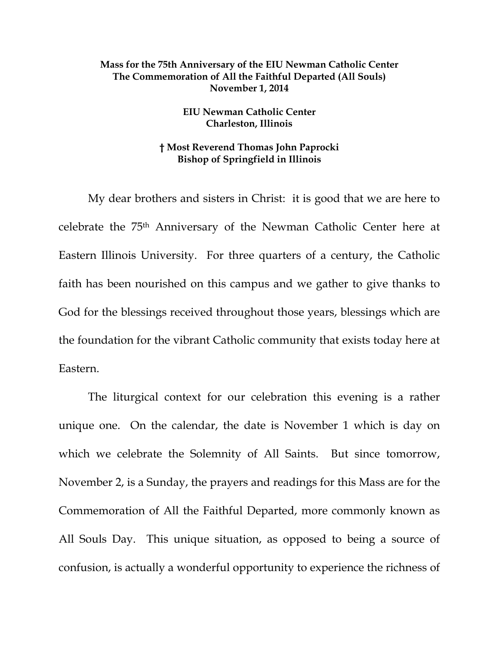## **Mass for the 75th Anniversary of the EIU Newman Catholic Center The Commemoration of All the Faithful Departed (All Souls) November 1, 2014**

## **EIU Newman Catholic Center Charleston, Illinois**

## **† Most Reverend Thomas John Paprocki Bishop of Springfield in Illinois**

My dear brothers and sisters in Christ: it is good that we are here to celebrate the 75th Anniversary of the Newman Catholic Center here at Eastern Illinois University. For three quarters of a century, the Catholic faith has been nourished on this campus and we gather to give thanks to God for the blessings received throughout those years, blessings which are the foundation for the vibrant Catholic community that exists today here at Eastern.

The liturgical context for our celebration this evening is a rather unique one. On the calendar, the date is November 1 which is day on which we celebrate the Solemnity of All Saints. But since tomorrow, November 2, is a Sunday, the prayers and readings for this Mass are for the Commemoration of All the Faithful Departed, more commonly known as All Souls Day. This unique situation, as opposed to being a source of confusion, is actually a wonderful opportunity to experience the richness of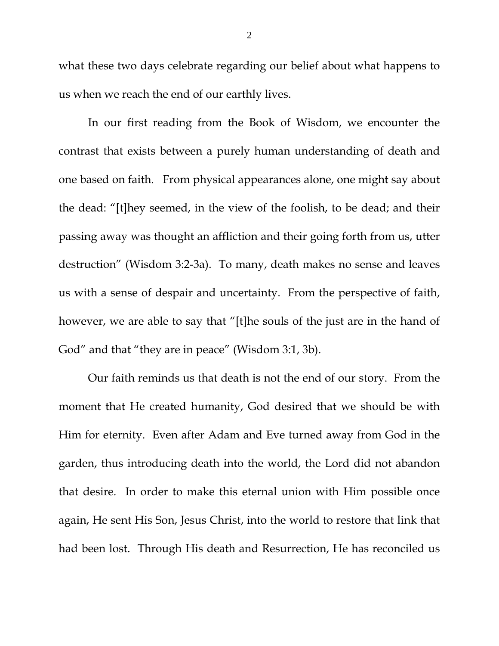what these two days celebrate regarding our belief about what happens to us when we reach the end of our earthly lives.

In our first reading from the Book of Wisdom, we encounter the contrast that exists between a purely human understanding of death and one based on faith. From physical appearances alone, one might say about the dead: "[t]hey seemed, in the view of the foolish, to be dead; and their passing away was thought an affliction and their going forth from us, utter destruction" (Wisdom 3:2-3a). To many, death makes no sense and leaves us with a sense of despair and uncertainty. From the perspective of faith, however, we are able to say that "[t]he souls of the just are in the hand of God" and that "they are in peace" (Wisdom 3:1, 3b).

Our faith reminds us that death is not the end of our story. From the moment that He created humanity, God desired that we should be with Him for eternity. Even after Adam and Eve turned away from God in the garden, thus introducing death into the world, the Lord did not abandon that desire. In order to make this eternal union with Him possible once again, He sent His Son, Jesus Christ, into the world to restore that link that had been lost. Through His death and Resurrection, He has reconciled us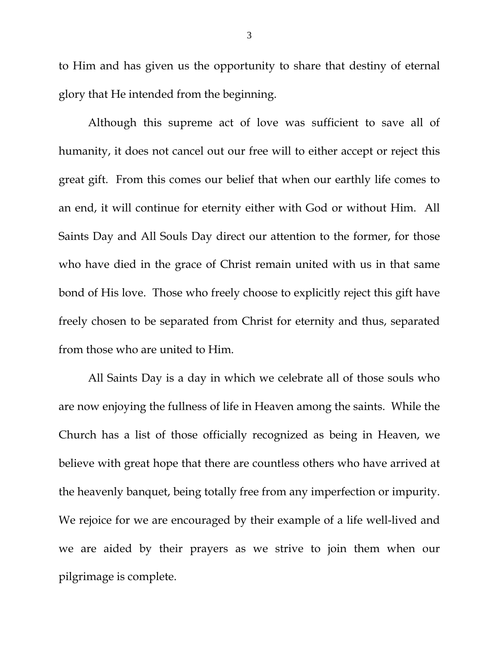to Him and has given us the opportunity to share that destiny of eternal glory that He intended from the beginning.

Although this supreme act of love was sufficient to save all of humanity, it does not cancel out our free will to either accept or reject this great gift. From this comes our belief that when our earthly life comes to an end, it will continue for eternity either with God or without Him. All Saints Day and All Souls Day direct our attention to the former, for those who have died in the grace of Christ remain united with us in that same bond of His love. Those who freely choose to explicitly reject this gift have freely chosen to be separated from Christ for eternity and thus, separated from those who are united to Him.

All Saints Day is a day in which we celebrate all of those souls who are now enjoying the fullness of life in Heaven among the saints. While the Church has a list of those officially recognized as being in Heaven, we believe with great hope that there are countless others who have arrived at the heavenly banquet, being totally free from any imperfection or impurity. We rejoice for we are encouraged by their example of a life well-lived and we are aided by their prayers as we strive to join them when our pilgrimage is complete.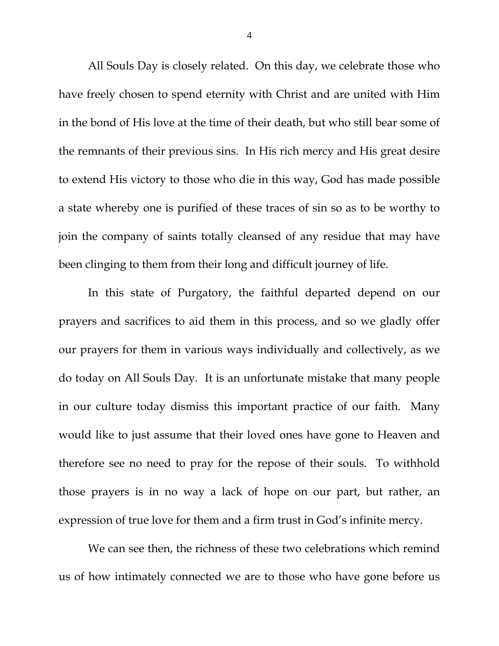All Souls Day is closely related. On this day, we celebrate those who have freely chosen to spend eternity with Christ and are united with Him in the bond of His love at the time of their death, but who still bear some of the remnants of their previous sins. In His rich mercy and His great desire to extend His victory to those who die in this way, God has made possible a state whereby one is purified of these traces of sin so as to be worthy to join the company of saints totally cleansed of any residue that may have been clinging to them from their long and difficult journey of life.

In this state of Purgatory, the faithful departed depend on our prayers and sacrifices to aid them in this process, and so we gladly offer our prayers for them in various ways individually and collectively, as we do today on All Souls Day. It is an unfortunate mistake that many people in our culture today dismiss this important practice of our faith. Many would like to just assume that their loved ones have gone to Heaven and therefore see no need to pray for the repose of their souls. To withhold those prayers is in no way a lack of hope on our part, but rather, an expression of true love for them and a firm trust in God's infinite mercy.

We can see then, the richness of these two celebrations which remind us of how intimately connected we are to those who have gone before us

4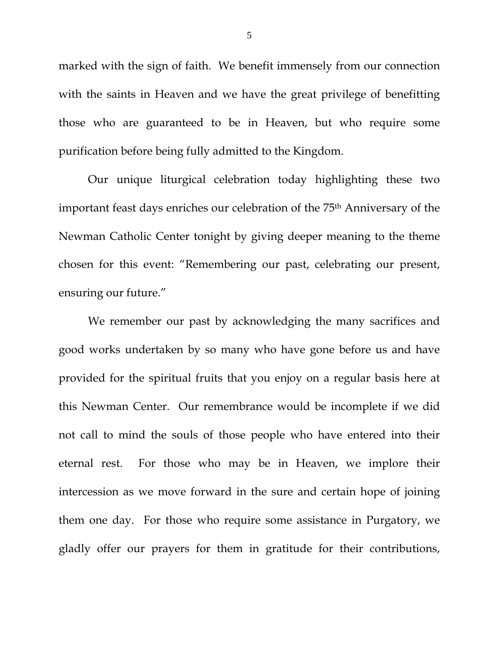marked with the sign of faith. We benefit immensely from our connection with the saints in Heaven and we have the great privilege of benefitting those who are guaranteed to be in Heaven, but who require some purification before being fully admitted to the Kingdom.

Our unique liturgical celebration today highlighting these two important feast days enriches our celebration of the 75th Anniversary of the Newman Catholic Center tonight by giving deeper meaning to the theme chosen for this event: "Remembering our past, celebrating our present, ensuring our future."

We remember our past by acknowledging the many sacrifices and good works undertaken by so many who have gone before us and have provided for the spiritual fruits that you enjoy on a regular basis here at this Newman Center. Our remembrance would be incomplete if we did not call to mind the souls of those people who have entered into their eternal rest. For those who may be in Heaven, we implore their intercession as we move forward in the sure and certain hope of joining them one day. For those who require some assistance in Purgatory, we gladly offer our prayers for them in gratitude for their contributions,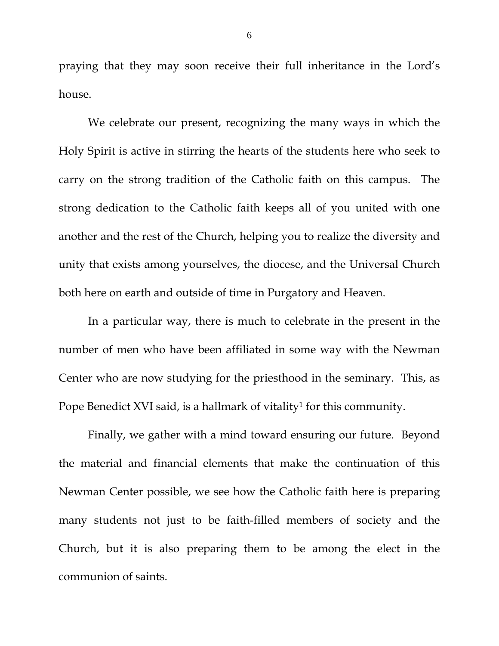praying that they may soon receive their full inheritance in the Lord's house.

We celebrate our present, recognizing the many ways in which the Holy Spirit is active in stirring the hearts of the students here who seek to carry on the strong tradition of the Catholic faith on this campus. The strong dedication to the Catholic faith keeps all of you united with one another and the rest of the Church, helping you to realize the diversity and unity that exists among yourselves, the diocese, and the Universal Church both here on earth and outside of time in Purgatory and Heaven.

In a particular way, there is much to celebrate in the present in the number of men who have been affiliated in some way with the Newman Center who are now studying for the priesthood in the seminary. This, as Pope Benedict XVI said, is a hallmark of vitality<sup>1</sup> for this community.

Finally, we gather with a mind toward ensuring our future. Beyond the material and financial elements that make the continuation of this Newman Center possible, we see how the Catholic faith here is preparing many students not just to be faith-filled members of society and the Church, but it is also preparing them to be among the elect in the communion of saints.